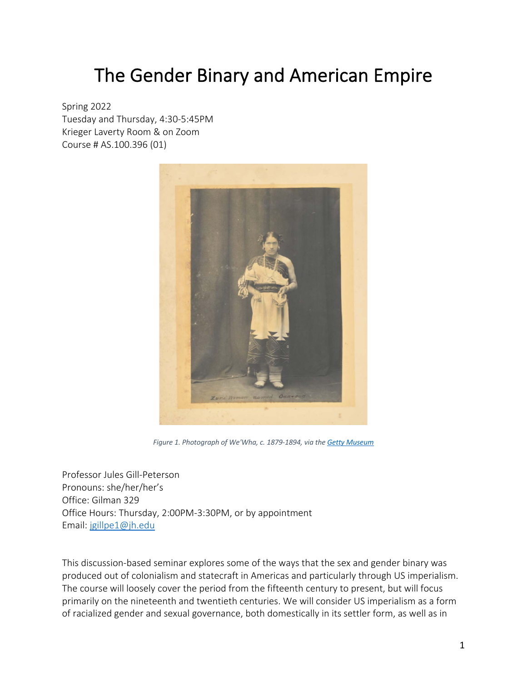# The Gender Binary and American Empire

Spring 2022 Tuesday and Thursday, 4:30-5:45PM Krieger Laverty Room & on Zoom Course # AS.100.396 (01)



*Figure 1. Photograph of We'Wha, c. 1879-1894, via the Getty Museum*

Professor Jules Gill-Peterson Pronouns: she/her/her's Office: Gilman 329 Office Hours: Thursday, 2:00PM-3:30PM, or by appointment Email: jgillpe1@jh.edu

This discussion-based seminar explores some of the ways that the sex and gender binary was produced out of colonialism and statecraft in Americas and particularly through US imperialism. The course will loosely cover the period from the fifteenth century to present, but will focus primarily on the nineteenth and twentieth centuries. We will consider US imperialism as a form of racialized gender and sexual governance, both domestically in its settler form, as well as in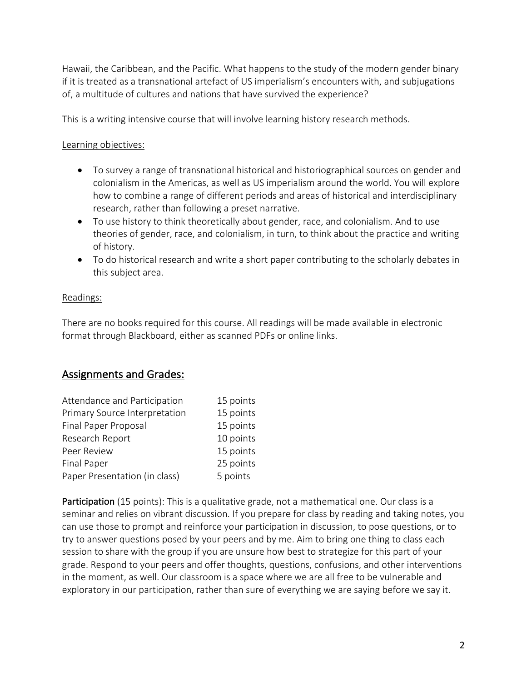Hawaii, the Caribbean, and the Pacific. What happens to the study of the modern gender binary if it is treated as a transnational artefact of US imperialism's encounters with, and subjugations of, a multitude of cultures and nations that have survived the experience?

This is a writing intensive course that will involve learning history research methods.

#### Learning objectives:

- To survey a range of transnational historical and historiographical sources on gender and colonialism in the Americas, as well as US imperialism around the world. You will explore how to combine a range of different periods and areas of historical and interdisciplinary research, rather than following a preset narrative.
- To use history to think theoretically about gender, race, and colonialism. And to use theories of gender, race, and colonialism, in turn, to think about the practice and writing of history.
- To do historical research and write a short paper contributing to the scholarly debates in this subject area.

#### Readings:

There are no books required for this course. All readings will be made available in electronic format through Blackboard, either as scanned PDFs or online links.

## Assignments and Grades:

| Attendance and Participation  | 15 points |
|-------------------------------|-----------|
| Primary Source Interpretation | 15 points |
| Final Paper Proposal          | 15 points |
| Research Report               | 10 points |
| Peer Review                   | 15 points |
| <b>Final Paper</b>            | 25 points |
| Paper Presentation (in class) | 5 points  |

Participation (15 points): This is a qualitative grade, not a mathematical one. Our class is a seminar and relies on vibrant discussion. If you prepare for class by reading and taking notes, you can use those to prompt and reinforce your participation in discussion, to pose questions, or to try to answer questions posed by your peers and by me. Aim to bring one thing to class each session to share with the group if you are unsure how best to strategize for this part of your grade. Respond to your peers and offer thoughts, questions, confusions, and other interventions in the moment, as well. Our classroom is a space where we are all free to be vulnerable and exploratory in our participation, rather than sure of everything we are saying before we say it.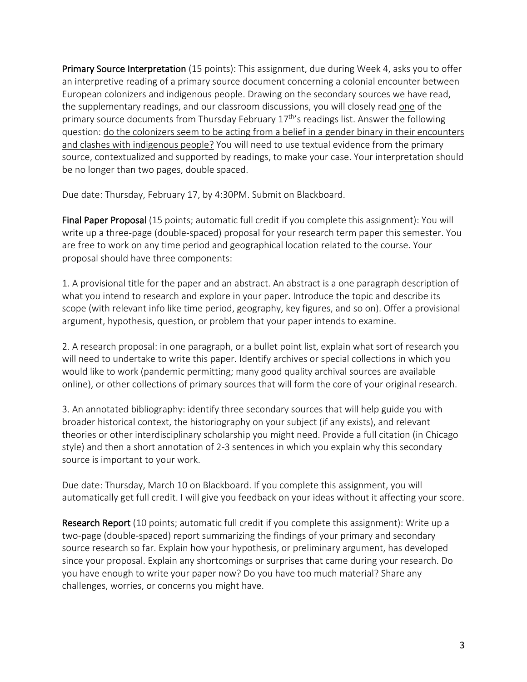Primary Source Interpretation (15 points): This assignment, due during Week 4, asks you to offer an interpretive reading of a primary source document concerning a colonial encounter between European colonizers and indigenous people. Drawing on the secondary sources we have read, the supplementary readings, and our classroom discussions, you will closely read one of the primary source documents from Thursday February  $17<sup>th</sup>$ 's readings list. Answer the following question: do the colonizers seem to be acting from a belief in a gender binary in their encounters and clashes with indigenous people? You will need to use textual evidence from the primary source, contextualized and supported by readings, to make your case. Your interpretation should be no longer than two pages, double spaced.

Due date: Thursday, February 17, by 4:30PM. Submit on Blackboard.

Final Paper Proposal (15 points; automatic full credit if you complete this assignment): You will write up a three-page (double-spaced) proposal for your research term paper this semester. You are free to work on any time period and geographical location related to the course. Your proposal should have three components:

1. A provisional title for the paper and an abstract. An abstract is a one paragraph description of what you intend to research and explore in your paper. Introduce the topic and describe its scope (with relevant info like time period, geography, key figures, and so on). Offer a provisional argument, hypothesis, question, or problem that your paper intends to examine.

2. A research proposal: in one paragraph, or a bullet point list, explain what sort of research you will need to undertake to write this paper. Identify archives or special collections in which you would like to work (pandemic permitting; many good quality archival sources are available online), or other collections of primary sources that will form the core of your original research.

3. An annotated bibliography: identify three secondary sources that will help guide you with broader historical context, the historiography on your subject (if any exists), and relevant theories or other interdisciplinary scholarship you might need. Provide a full citation (in Chicago style) and then a short annotation of 2-3 sentences in which you explain why this secondary source is important to your work.

Due date: Thursday, March 10 on Blackboard. If you complete this assignment, you will automatically get full credit. I will give you feedback on your ideas without it affecting your score.

Research Report (10 points; automatic full credit if you complete this assignment): Write up a two-page (double-spaced) report summarizing the findings of your primary and secondary source research so far. Explain how your hypothesis, or preliminary argument, has developed since your proposal. Explain any shortcomings or surprises that came during your research. Do you have enough to write your paper now? Do you have too much material? Share any challenges, worries, or concerns you might have.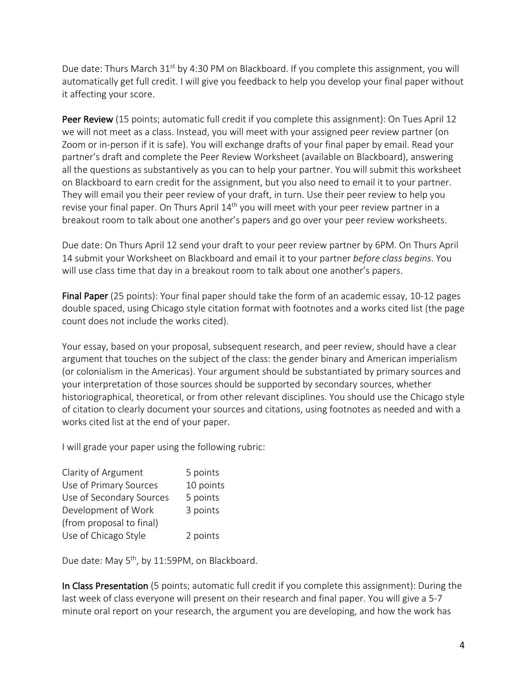Due date: Thurs March 31<sup>st</sup> by 4:30 PM on Blackboard. If you complete this assignment, you will automatically get full credit. I will give you feedback to help you develop your final paper without it affecting your score.

Peer Review (15 points; automatic full credit if you complete this assignment): On Tues April 12 we will not meet as a class. Instead, you will meet with your assigned peer review partner (on Zoom or in-person if it is safe). You will exchange drafts of your final paper by email. Read your partner's draft and complete the Peer Review Worksheet (available on Blackboard), answering all the questions as substantively as you can to help your partner. You will submit this worksheet on Blackboard to earn credit for the assignment, but you also need to email it to your partner. They will email you their peer review of your draft, in turn. Use their peer review to help you revise your final paper. On Thurs April 14<sup>th</sup> you will meet with your peer review partner in a breakout room to talk about one another's papers and go over your peer review worksheets.

Due date: On Thurs April 12 send your draft to your peer review partner by 6PM. On Thurs April 14 submit your Worksheet on Blackboard and email it to your partner *before class begins*. You will use class time that day in a breakout room to talk about one another's papers.

Final Paper (25 points): Your final paper should take the form of an academic essay, 10-12 pages double spaced, using Chicago style citation format with footnotes and a works cited list (the page count does not include the works cited).

Your essay, based on your proposal, subsequent research, and peer review, should have a clear argument that touches on the subject of the class: the gender binary and American imperialism (or colonialism in the Americas). Your argument should be substantiated by primary sources and your interpretation of those sources should be supported by secondary sources, whether historiographical, theoretical, or from other relevant disciplines. You should use the Chicago style of citation to clearly document your sources and citations, using footnotes as needed and with a works cited list at the end of your paper.

I will grade your paper using the following rubric:

| 5 points  |
|-----------|
| 10 points |
| 5 points  |
| 3 points  |
|           |
| 2 points  |
|           |

Due date: May 5<sup>th</sup>, by 11:59PM, on Blackboard.

In Class Presentation (5 points; automatic full credit if you complete this assignment): During the last week of class everyone will present on their research and final paper. You will give a 5-7 minute oral report on your research, the argument you are developing, and how the work has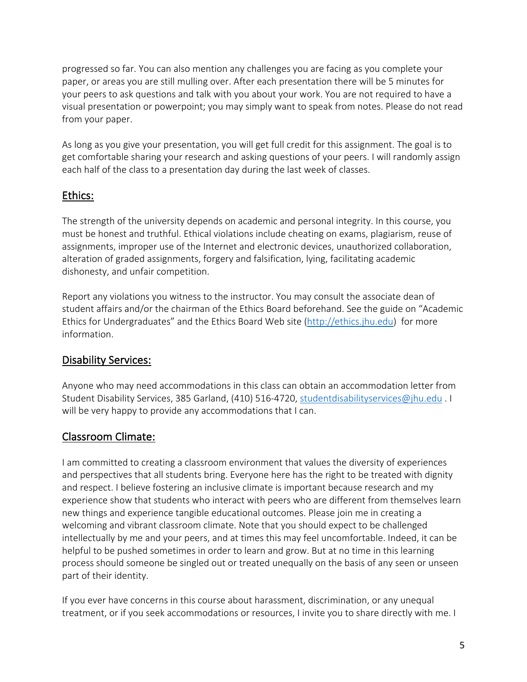progressed so far. You can also mention any challenges you are facing as you complete your paper, or areas you are still mulling over. After each presentation there will be 5 minutes for your peers to ask questions and talk with you about your work. You are not required to have a visual presentation or powerpoint; you may simply want to speak from notes. Please do not read from your paper.

As long as you give your presentation, you will get full credit for this assignment. The goal is to get comfortable sharing your research and asking questions of your peers. I will randomly assign each half of the class to a presentation day during the last week of classes.

# Ethics:

The strength of the university depends on academic and personal integrity. In this course, you must be honest and truthful. Ethical violations include cheating on exams, plagiarism, reuse of assignments, improper use of the Internet and electronic devices, unauthorized collaboration, alteration of graded assignments, forgery and falsification, lying, facilitating academic dishonesty, and unfair competition.

Report any violations you witness to the instructor. You may consult the associate dean of student affairs and/or the chairman of the Ethics Board beforehand. See the guide on "Academic Ethics for Undergraduates" and the Ethics Board Web site (http://ethics.jhu.edu) for more information.

# Disability Services:

Anyone who may need accommodations in this class can obtain an accommodation letter from Student Disability Services, 385 Garland, (410) 516-4720, studentdisabilityservices@jhu.edu . I will be very happy to provide any accommodations that I can.

# Classroom Climate:

I am committed to creating a classroom environment that values the diversity of experiences and perspectives that all students bring. Everyone here has the right to be treated with dignity and respect. I believe fostering an inclusive climate is important because research and my experience show that students who interact with peers who are different from themselves learn new things and experience tangible educational outcomes. Please join me in creating a welcoming and vibrant classroom climate. Note that you should expect to be challenged intellectually by me and your peers, and at times this may feel uncomfortable. Indeed, it can be helpful to be pushed sometimes in order to learn and grow. But at no time in this learning process should someone be singled out or treated unequally on the basis of any seen or unseen part of their identity.

If you ever have concerns in this course about harassment, discrimination, or any unequal treatment, or if you seek accommodations or resources, I invite you to share directly with me. I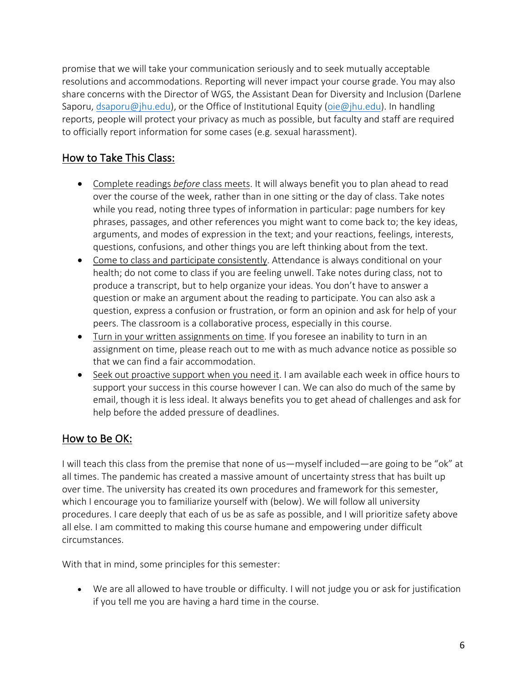promise that we will take your communication seriously and to seek mutually acceptable resolutions and accommodations. Reporting will never impact your course grade. You may also share concerns with the Director of WGS, the Assistant Dean for Diversity and Inclusion (Darlene Saporu, dsaporu@jhu.edu), or the Office of Institutional Equity (oie@jhu.edu). In handling reports, people will protect your privacy as much as possible, but faculty and staff are required to officially report information for some cases (e.g. sexual harassment).

# How to Take This Class:

- Complete readings *before* class meets. It will always benefit you to plan ahead to read over the course of the week, rather than in one sitting or the day of class. Take notes while you read, noting three types of information in particular: page numbers for key phrases, passages, and other references you might want to come back to; the key ideas, arguments, and modes of expression in the text; and your reactions, feelings, interests, questions, confusions, and other things you are left thinking about from the text.
- Come to class and participate consistently. Attendance is always conditional on your health; do not come to class if you are feeling unwell. Take notes during class, not to produce a transcript, but to help organize your ideas. You don't have to answer a question or make an argument about the reading to participate. You can also ask a question, express a confusion or frustration, or form an opinion and ask for help of your peers. The classroom is a collaborative process, especially in this course.
- Turn in your written assignments on time. If you foresee an inability to turn in an assignment on time, please reach out to me with as much advance notice as possible so that we can find a fair accommodation.
- Seek out proactive support when you need it. I am available each week in office hours to support your success in this course however I can. We can also do much of the same by email, though it is less ideal. It always benefits you to get ahead of challenges and ask for help before the added pressure of deadlines.

# How to Be OK:

I will teach this class from the premise that none of us—myself included—are going to be "ok" at all times. The pandemic has created a massive amount of uncertainty stress that has built up over time. The university has created its own procedures and framework for this semester, which I encourage you to familiarize yourself with (below). We will follow all university procedures. I care deeply that each of us be as safe as possible, and I will prioritize safety above all else. I am committed to making this course humane and empowering under difficult circumstances.

With that in mind, some principles for this semester:

• We are all allowed to have trouble or difficulty. I will not judge you or ask for justification if you tell me you are having a hard time in the course.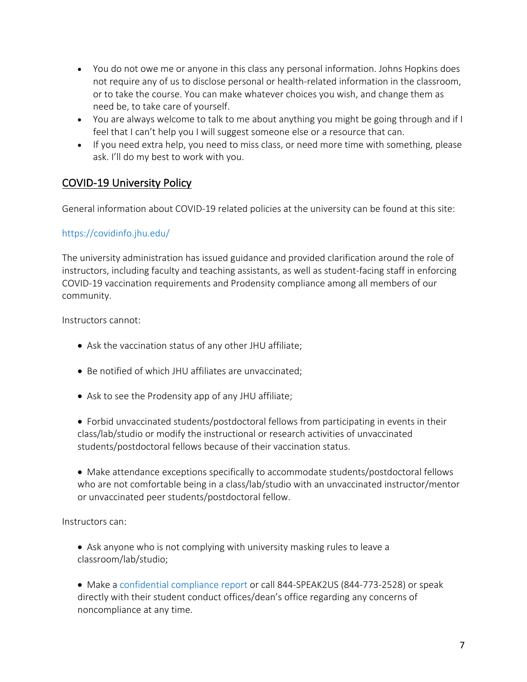- You do not owe me or anyone in this class any personal information. Johns Hopkins does not require any of us to disclose personal or health-related information in the classroom, or to take the course. You can make whatever choices you wish, and change them as need be, to take care of yourself.
- You are always welcome to talk to me about anything you might be going through and if I feel that I can't help you I will suggest someone else or a resource that can.
- If you need extra help, you need to miss class, or need more time with something, please ask. I'll do my best to work with you.

# COVID-19 University Policy

General information about COVID-19 related policies at the university can be found at this site:

## https://covidinfo.jhu.edu/

The university administration has issued guidance and provided clarification around the role of instructors, including faculty and teaching assistants, as well as student-facing staff in enforcing COVID-19 vaccination requirements and Prodensity compliance among all members of our community.

Instructors cannot:

- Ask the vaccination status of any other JHU affiliate;
- Be notified of which JHU affiliates are unvaccinated;
- Ask to see the Prodensity app of any JHU affiliate;

• Forbid unvaccinated students/postdoctoral fellows from participating in events in their class/lab/studio or modify the instructional or research activities of unvaccinated students/postdoctoral fellows because of their vaccination status.

• Make attendance exceptions specifically to accommodate students/postdoctoral fellows who are not comfortable being in a class/lab/studio with an unvaccinated instructor/mentor or unvaccinated peer students/postdoctoral fellow.

Instructors can:

• Ask anyone who is not complying with university masking rules to leave a classroom/lab/studio;

• Make a confidential compliance report or call 844-SPEAK2US (844-773-2528) or speak directly with their student conduct offices/dean's office regarding any concerns of noncompliance at any time.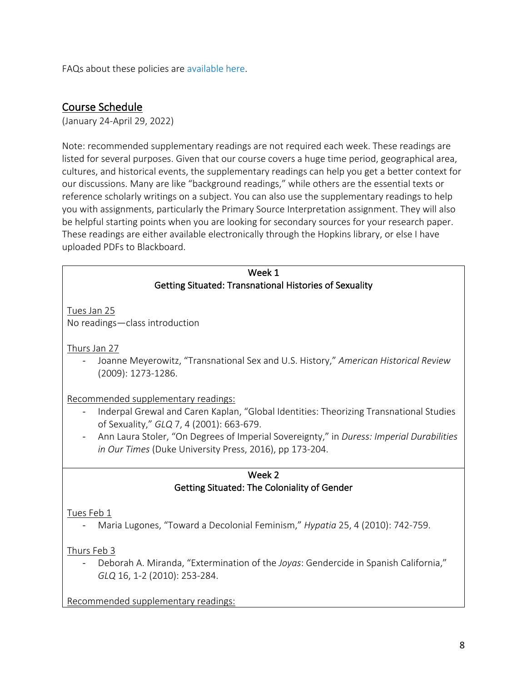FAQs about these policies are available here.

## Course Schedule

(January 24-April 29, 2022)

Note: recommended supplementary readings are not required each week. These readings are listed for several purposes. Given that our course covers a huge time period, geographical area, cultures, and historical events, the supplementary readings can help you get a better context for our discussions. Many are like "background readings," while others are the essential texts or reference scholarly writings on a subject. You can also use the supplementary readings to help you with assignments, particularly the Primary Source Interpretation assignment. They will also be helpful starting points when you are looking for secondary sources for your research paper. These readings are either available electronically through the Hopkins library, or else I have uploaded PDFs to Blackboard.

| Week 1                                                                                   |  |
|------------------------------------------------------------------------------------------|--|
| <b>Getting Situated: Transnational Histories of Sexuality</b>                            |  |
|                                                                                          |  |
| Tues Jan 25                                                                              |  |
| No readings-class introduction                                                           |  |
|                                                                                          |  |
| Thurs Jan 27                                                                             |  |
| Joanne Meyerowitz, "Transnational Sex and U.S. History," American Historical Review      |  |
| (2009): 1273-1286.                                                                       |  |
|                                                                                          |  |
| Recommended supplementary readings:                                                      |  |
| Inderpal Grewal and Caren Kaplan, "Global Identities: Theorizing Transnational Studies   |  |
| of Sexuality," GLQ 7, 4 (2001): 663-679.                                                 |  |
| Ann Laura Stoler, "On Degrees of Imperial Sovereignty," in Duress: Imperial Durabilities |  |
| in Our Times (Duke University Press, 2016), pp 173-204.                                  |  |
|                                                                                          |  |
| Week 2                                                                                   |  |
| Getting Situated: The Coloniality of Gender                                              |  |
|                                                                                          |  |
| Tues Feb 1                                                                               |  |
| Maria Lugones, "Toward a Decolonial Feminism," Hypatia 25, 4 (2010): 742-759.            |  |
|                                                                                          |  |
|                                                                                          |  |
| Thurs Feb 3                                                                              |  |
| Deborah A. Miranda, "Extermination of the Joyas: Gendercide in Spanish California,"      |  |
| GLQ 16, 1-2 (2010): 253-284.                                                             |  |
|                                                                                          |  |
| Recommended supplementary readings:                                                      |  |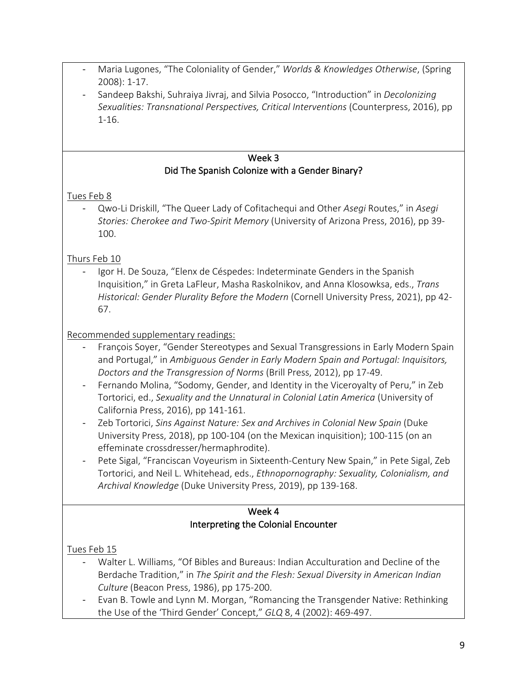- Maria Lugones, "The Coloniality of Gender," *Worlds & Knowledges Otherwise*, (Spring 2008): 1-17.
- Sandeep Bakshi, Suhraiya Jivraj, and Silvia Posocco, "Introduction" in *Decolonizing Sexualities: Transnational Perspectives, Critical Interventions* (Counterpress, 2016), pp 1-16.

#### Week 3 Did The Spanish Colonize with a Gender Binary?

## Tues Feb 8

- Qwo-Li Driskill, "The Queer Lady of Cofitachequi and Other *Asegi* Routes," in *Asegi Stories: Cherokee and Two-Spirit Memory* (University of Arizona Press, 2016), pp 39- 100.

# Thurs Feb 10

Igor H. De Souza, "Elenx de Céspedes: Indeterminate Genders in the Spanish Inquisition," in Greta LaFleur, Masha Raskolnikov, and Anna Klosowksa, eds., *Trans Historical: Gender Plurality Before the Modern* (Cornell University Press, 2021), pp 42- 67.

# Recommended supplementary readings:

- François Soyer, "Gender Stereotypes and Sexual Transgressions in Early Modern Spain and Portugal," in *Ambiguous Gender in Early Modern Spain and Portugal: Inquisitors, Doctors and the Transgression of Norms* (Brill Press, 2012), pp 17-49.
- Fernando Molina, "Sodomy, Gender, and Identity in the Viceroyalty of Peru," in Zeb Tortorici, ed., *Sexuality and the Unnatural in Colonial Latin America* (University of California Press, 2016), pp 141-161.
- Zeb Tortorici, *Sins Against Nature: Sex and Archives in Colonial New Spain* (Duke University Press, 2018), pp 100-104 (on the Mexican inquisition); 100-115 (on an effeminate crossdresser/hermaphrodite).
- Pete Sigal, "Franciscan Voyeurism in Sixteenth-Century New Spain," in Pete Sigal, Zeb Tortorici, and Neil L. Whitehead, eds., *Ethnopornography: Sexuality, Colonialism, and Archival Knowledge* (Duke University Press, 2019), pp 139-168.

#### Week 4 Interpreting the Colonial Encounter

# Tues Feb 15

- Walter L. Williams, "Of Bibles and Bureaus: Indian Acculturation and Decline of the Berdache Tradition," in *The Spirit and the Flesh: Sexual Diversity in American Indian Culture* (Beacon Press, 1986), pp 175-200.
- Evan B. Towle and Lynn M. Morgan, "Romancing the Transgender Native: Rethinking the Use of the 'Third Gender' Concept," *GLQ* 8, 4 (2002): 469-497.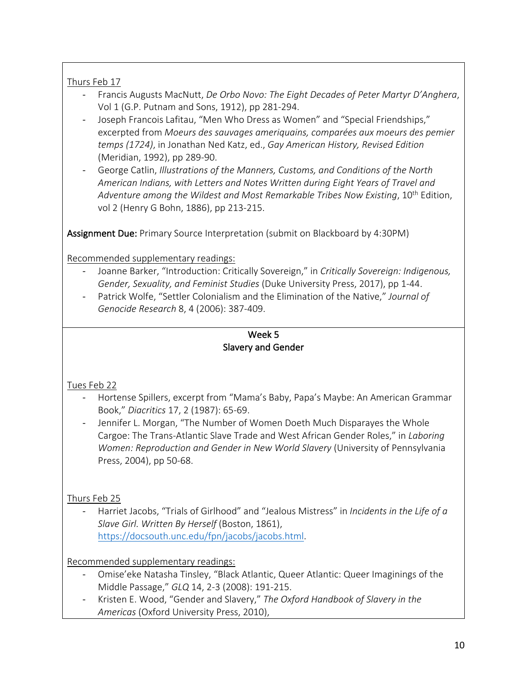## Thurs Feb 17

- Francis Augusts MacNutt, *De Orbo Novo: The Eight Decades of Peter Martyr D'Anghera*, Vol 1 (G.P. Putnam and Sons, 1912), pp 281-294.
- Joseph Francois Lafitau, "Men Who Dress as Women" and "Special Friendships," excerpted from *Moeurs des sauvages ameriquains, comparées aux moeurs des pemier temps (1724)*, in Jonathan Ned Katz, ed., *Gay American History, Revised Edition*  (Meridian, 1992), pp 289-90.
- George Catlin, *Illustrations of the Manners, Customs, and Conditions of the North American Indians, with Letters and Notes Written during Eight Years of Travel and*  Adventure among the Wildest and Most Remarkable Tribes Now Existing, 10<sup>th</sup> Edition, vol 2 (Henry G Bohn, 1886), pp 213-215.

Assignment Due: Primary Source Interpretation (submit on Blackboard by 4:30PM)

Recommended supplementary readings:

- Joanne Barker, "Introduction: Critically Sovereign," in *Critically Sovereign: Indigenous, Gender, Sexuality, and Feminist Studies* (Duke University Press, 2017), pp 1-44.
- Patrick Wolfe, "Settler Colonialism and the Elimination of the Native," *Journal of Genocide Research* 8, 4 (2006): 387-409.

#### Week 5 Slavery and Gender

## Tues Feb 22

- Hortense Spillers, excerpt from "Mama's Baby, Papa's Maybe: An American Grammar Book," *Diacritics* 17, 2 (1987): 65-69.
- Jennifer L. Morgan, "The Number of Women Doeth Much Disparayes the Whole Cargoe: The Trans-Atlantic Slave Trade and West African Gender Roles," in *Laboring Women: Reproduction and Gender in New World Slavery* (University of Pennsylvania Press, 2004), pp 50-68.

## Thurs Feb 25

- Harriet Jacobs, "Trials of Girlhood" and "Jealous Mistress" in *Incidents in the Life of a Slave Girl. Written By Herself* (Boston, 1861), https://docsouth.unc.edu/fpn/jacobs/jacobs.html.

Recommended supplementary readings:

- Omise'eke Natasha Tinsley, "Black Atlantic, Queer Atlantic: Queer Imaginings of the Middle Passage," *GLQ* 14, 2-3 (2008): 191-215.
- Kristen E. Wood, "Gender and Slavery," *The Oxford Handbook of Slavery in the Americas* (Oxford University Press, 2010),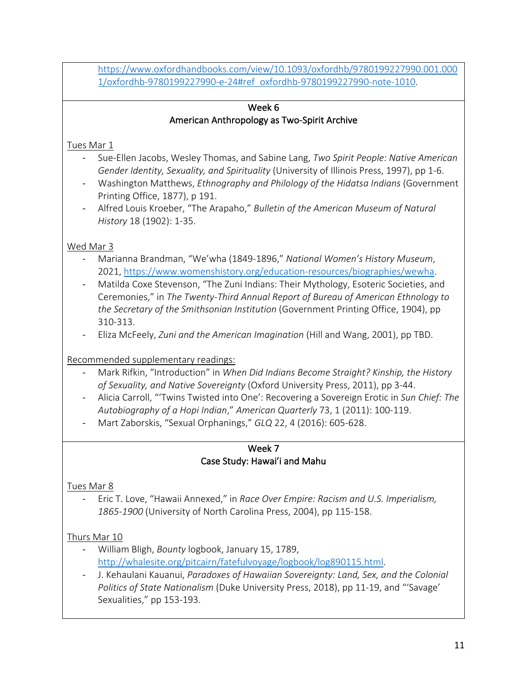https://www.oxfordhandbooks.com/view/10.1093/oxfordhb/9780199227990.001.000 1/oxfordhb-9780199227990-e-24#ref\_oxfordhb-9780199227990-note-1010.

#### Week 6 American Anthropology as Two-Spirit Archive

## Tues Mar 1

- Sue-Ellen Jacobs, Wesley Thomas, and Sabine Lang, *Two Spirit People: Native American Gender Identity, Sexuality, and Spirituality* (University of Illinois Press, 1997), pp 1-6.
- Washington Matthews, *Ethnography and Philology of the Hidatsa Indians* (Government Printing Office, 1877), p 191.
- Alfred Louis Kroeber, "The Arapaho," *Bulletin of the American Museum of Natural History* 18 (1902): 1-35.

## Wed Mar 3

- Marianna Brandman, "We'wha (1849-1896," *National Women's History Museum*, 2021, https://www.womenshistory.org/education-resources/biographies/wewha.
- Matilda Coxe Stevenson, "The Zuni Indians: Their Mythology, Esoteric Societies, and Ceremonies," in *The Twenty-Third Annual Report of Bureau of American Ethnology to the Secretary of the Smithsonian Institution* (Government Printing Office, 1904), pp 310-313.
- Eliza McFeely, *Zuni and the American Imagination* (Hill and Wang, 2001), pp TBD.

## Recommended supplementary readings:

- Mark Rifkin, "Introduction" in *When Did Indians Become Straight? Kinship, the History of Sexuality, and Native Sovereignty* (Oxford University Press, 2011), pp 3-44.
- Alicia Carroll, "'Twins Twisted into One': Recovering a Sovereign Erotic in *Sun Chief: The Autobiography of a Hopi Indian*," *American Quarterly* 73, 1 (2011): 100-119.
- Mart Zaborskis, "Sexual Orphanings," *GLQ* 22, 4 (2016): 605-628.

#### Week 7 Case Study: Hawai'i and Mahu

## Tues Mar 8

- Eric T. Love, "Hawaii Annexed," in *Race Over Empire: Racism and U.S. Imperialism, 1865-1900* (University of North Carolina Press, 2004), pp 115-158.

## Thurs Mar 10

- William Bligh, *Bounty* logbook, January 15, 1789, http://whalesite.org/pitcairn/fatefulvoyage/logbook/log890115.html.
- J. Kehaulani Kauanui, *Paradoxes of Hawaiian Sovereignty: Land, Sex, and the Colonial Politics of State Nationalism* (Duke University Press, 2018), pp 11-19, and "'Savage' Sexualities," pp 153-193.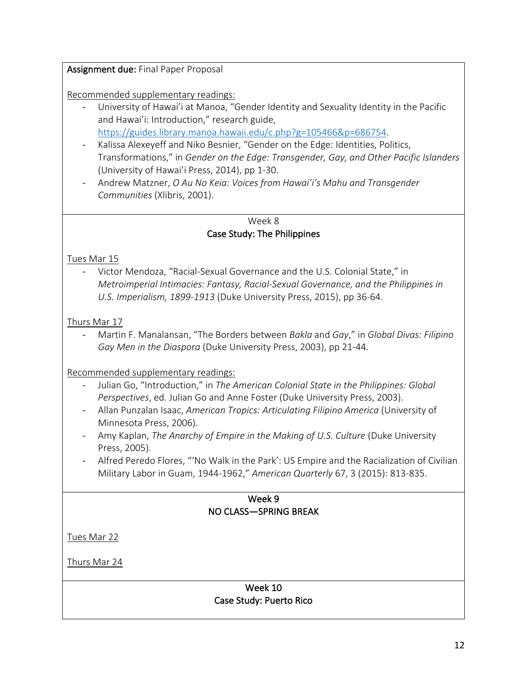Assignment due: Final Paper Proposal

Recommended supplementary readings:

- University of Hawai'i at Manoa, "Gender Identity and Sexuality Identity in the Pacific and Hawai'i: Introduction," research guide, https://guides.library.manoa.hawaii.edu/c.php?g=105466&p=686754.
- Kalissa Alexeyeff and Niko Besnier, "Gender on the Edge: Identities, Politics, Transformations," in *Gender on the Edge: Transgender, Gay, and Other Pacific Islanders*  (University of Hawai'i Press, 2014), pp 1-30.
- Andrew Matzner, *O Au No Keia: Voices from Hawai'i's Mahu and Transgender Communities* (Xlibris, 2001).

#### Week 8 Case Study: The Philippines

## Tues Mar 15

- Victor Mendoza, "Racial-Sexual Governance and the U.S. Colonial State," in *Metroimperial Intimacies: Fantasy, Racial-Sexual Governance, and the Philippines in U.S. Imperialism, 1899-1913* (Duke University Press, 2015), pp 36-64.

## Thurs Mar 17

- Martin F. Manalansan, "The Borders between *Bakla* and *Gay*," in *Global Divas: Filipino Gay Men in the Diaspora* (Duke University Press, 2003), pp 21-44.

Recommended supplementary readings:

- Julian Go, "Introduction," in *The American Colonial State in the Philippines: Global Perspectives*, ed. Julian Go and Anne Foster (Duke University Press, 2003).
- Allan Punzalan Isaac, *American Tropics: Articulating Filipino America* (University of Minnesota Press, 2006).
- Amy Kaplan, *The Anarchy of Empire in the Making of U.S. Culture* (Duke University Press, 2005).
- Alfred Peredo Flores, "'No Walk in the Park': US Empire and the Racialization of Civilian Military Labor in Guam, 1944-1962," *American Quarterly* 67, 3 (2015): 813-835.

#### Week 9 NO CLASS—SPRING BREAK

Tues Mar 22

Thurs Mar 24

#### Week 10 Case Study: Puerto Rico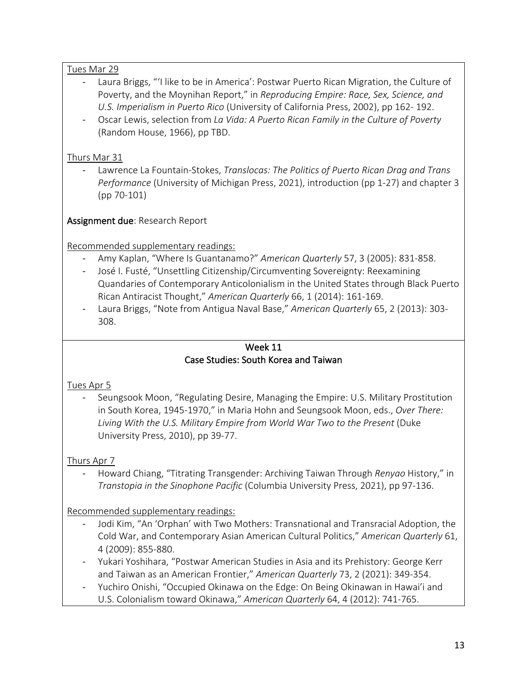#### Tues Mar 29

- Laura Briggs, "'I like to be in America': Postwar Puerto Rican Migration, the Culture of Poverty, and the Moynihan Report," in *Reproducing Empire: Race, Sex, Science, and U.S. Imperialism in Puerto Rico* (University of California Press, 2002), pp 162- 192.
- Oscar Lewis, selection from *La Vida: A Puerto Rican Family in the Culture of Poverty* (Random House, 1966), pp TBD.

#### Thurs Mar 31

- Lawrence La Fountain-Stokes, *Translocas: The Politics of Puerto Rican Drag and Trans Performance* (University of Michigan Press, 2021), introduction (pp 1-27) and chapter 3 (pp 70-101)

Assignment due: Research Report

Recommended supplementary readings:

- Amy Kaplan, "Where Is Guantanamo?" *American Quarterly* 57, 3 (2005): 831-858.
- José I. Fusté, "Unsettling Citizenship/Circumventing Sovereignty: Reexamining Quandaries of Contemporary Anticolonialism in the United States through Black Puerto Rican Antiracist Thought," *American Quarterly* 66, 1 (2014): 161-169.
- Laura Briggs, "Note from Antigua Naval Base," *American Quarterly* 65, 2 (2013): 303- 308.

#### Week 11 Case Studies: South Korea and Taiwan

## Tues Apr 5

Seungsook Moon, "Regulating Desire, Managing the Empire: U.S. Military Prostitution in South Korea, 1945-1970," in Maria Hohn and Seungsook Moon, eds., *Over There:*  Living With the U.S. Military Empire from World War Two to the Present (Duke University Press, 2010), pp 39-77.

## Thurs Apr 7

- Howard Chiang, "Titrating Transgender: Archiving Taiwan Through *Renyao* History," in *Transtopia in the Sinophone Pacific* (Columbia University Press, 2021), pp 97-136.

## Recommended supplementary readings:

- Jodi Kim, "An 'Orphan' with Two Mothers: Transnational and Transracial Adoption, the Cold War, and Contemporary Asian American Cultural Politics," *American Quarterly* 61, 4 (2009): 855-880.
- Yukari Yoshihara, "Postwar American Studies in Asia and its Prehistory: George Kerr and Taiwan as an American Frontier," *American Quarterly* 73, 2 (2021): 349-354.
- Yuchiro Onishi, "Occupied Okinawa on the Edge: On Being Okinawan in Hawai'i and U.S. Colonialism toward Okinawa," *American Quarterly* 64, 4 (2012): 741-765.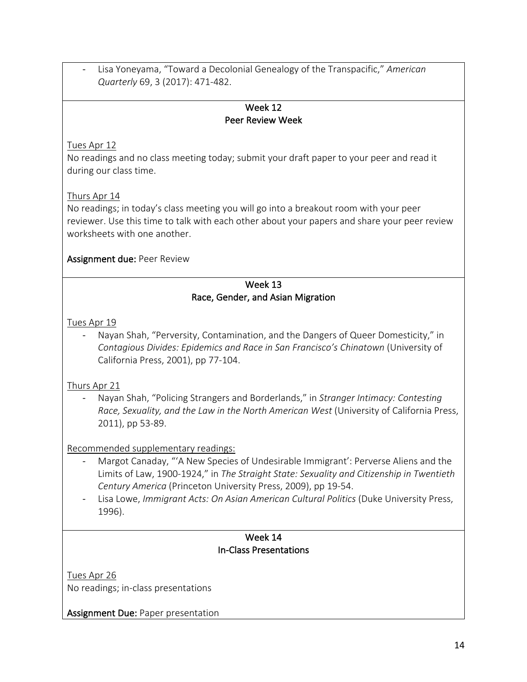- Lisa Yoneyama, "Toward a Decolonial Genealogy of the Transpacific," *American Quarterly* 69, 3 (2017): 471-482.

#### Week 12 Peer Review Week

Tues Apr 12

No readings and no class meeting today; submit your draft paper to your peer and read it during our class time.

## Thurs Apr 14

No readings; in today's class meeting you will go into a breakout room with your peer reviewer. Use this time to talk with each other about your papers and share your peer review worksheets with one another.

#### Assignment due: Peer Review

#### Week 13 Race, Gender, and Asian Migration

Tues Apr 19

Nayan Shah, "Perversity, Contamination, and the Dangers of Queer Domesticity," in *Contagious Divides: Epidemics and Race in San Francisco's Chinatown* (University of California Press, 2001), pp 77-104.

## Thurs Apr 21

- Nayan Shah, "Policing Strangers and Borderlands," in *Stranger Intimacy: Contesting Race, Sexuality, and the Law in the North American West* (University of California Press, 2011), pp 53-89.

## Recommended supplementary readings:

- Margot Canaday, "'A New Species of Undesirable Immigrant': Perverse Aliens and the Limits of Law, 1900-1924," in *The Straight State: Sexuality and Citizenship in Twentieth Century America* (Princeton University Press, 2009), pp 19-54.
- Lisa Lowe, *Immigrant Acts: On Asian American Cultural Politics* (Duke University Press, 1996).

#### Week 14 In-Class Presentations

Tues Apr 26 No readings; in-class presentations

Assignment Due: Paper presentation